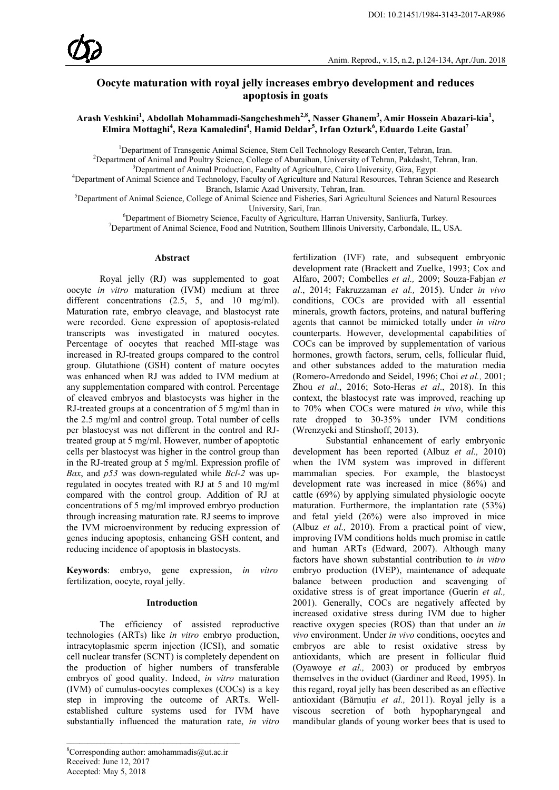# **Oocyte maturation with royal jelly increases embryo development and reduces apoptosis in goats**

**Arash Veshkini<sup>1</sup> , Abdollah Mohammadi-Sangcheshmeh2,8, Nasser Ghanem3 , Amir Hossein Abazari-kia<sup>1</sup> ,**  $\boldsymbol{\mathrm{E}}$ lmira Mottaghi<sup>4</sup>, Reza Kamaledini<sup>4</sup>, Hamid Deldar<sup>5</sup>, Irfan Ozturk<sup>6</sup>, Eduardo Leite Gastal<sup>7</sup>

<sup>1</sup>Department of Transgenic Animal Science, Stem Cell Technology Research Center, Tehran, Iran.<sup>2</sup><br><sup>2</sup>Department of Animal and Poultry Science, College of Aburaiban, University of Tehran, Pakdasht, Tehra

<sup>2</sup>Department of Animal and Poultry Science, College of Aburaihan, University of Tehran, Pakdasht, Tehran, Iran.  $3$ Department of Animal Production, Faculty of Agriculture, Cairo University, Giza, Egypt.

Department of Animal Production, Faculty of Agriculture, Cairo University, Giza, Egypt. <sup>4</sup> Department of Animal Science and Technology, Faculty of Agriculture and Natural Resources, Tehran Science and Research

Branch, Islamic Azad University, Tehran, Iran.<br><sup>5</sup>Department of Animal Science, College of Animal Science and Fisheries, Sari Agricultural Sciences and Natural Resources University, Sari, Iran.<br><sup>6</sup>Department of Biometry Science, Eaculty of Agriculture

<sup>o</sup>Department of Biometry Science, Faculty of Agriculture, Harran University, Sanliurfa, Turkey.<br><sup>7</sup>Department of Animal Science, Food and Nutrition, Southern Illinois University, Carbondale, IL, J

<sup>7</sup>Department of Animal Science, Food and Nutrition, Southern Illinois University, Carbondale, IL, USA.

#### **Abstract**

Royal jelly (RJ) was supplemented to goat oocyte *in vitro* maturation (IVM) medium at three different concentrations (2.5, 5, and 10 mg/ml). Maturation rate, embryo cleavage, and blastocyst rate were recorded. Gene expression of apoptosis-related transcripts was investigated in matured oocytes. Percentage of oocytes that reached MII-stage was increased in RJ-treated groups compared to the control group. Glutathione (GSH) content of mature oocytes was enhanced when RJ was added to IVM medium at any supplementation compared with control. Percentage of cleaved embryos and blastocysts was higher in the RJ-treated groups at a concentration of 5 mg/ml than in the 2.5 mg/ml and control group. Total number of cells per blastocyst was not different in the control and RJtreated group at 5 mg/ml. However, number of apoptotic cells per blastocyst was higher in the control group than in the RJ-treated group at 5 mg/ml. Expression profile of *Bax*, and *p53* was down-regulated while *Bcl-2* was upregulated in oocytes treated with RJ at 5 and 10 mg/ml compared with the control group. Addition of RJ at concentrations of 5 mg/ml improved embryo production through increasing maturation rate. RJ seems to improve the IVM microenvironment by reducing expression of genes inducing apoptosis, enhancing GSH content, and reducing incidence of apoptosis in blastocysts.

**Keywords**: embryo, gene expression, *in vitro* fertilization, oocyte, royal jelly.

### **Introduction**

The efficiency of assisted reproductive technologies (ARTs) like *in vitro* embryo production, intracytoplasmic sperm injection (ICSI), and somatic cell nuclear transfer (SCNT) is completely dependent on the production of higher numbers of transferable embryos of good quality. Indeed, *in vitro* maturation (IVM) of cumulus-oocytes complexes (COCs) is a key step in improving the outcome of ARTs. Wellestablished culture systems used for IVM have substantially influenced the maturation rate, *in vitro*

\_\_\_\_\_\_\_\_\_\_\_\_\_\_\_\_\_\_\_\_\_\_\_\_\_\_\_\_\_\_\_\_\_\_\_\_\_\_\_\_\_

fertilization (IVF) rate, and subsequent embryonic development rate (Brackett and Zuelke, 1993; Cox and Alfaro, 2007; Combelles *et al.,* 2009; Souza-Fabjan *et al*., 2014; Fakruzzaman *et al.,* 2015). Under *in vivo* conditions, COCs are provided with all essential minerals, growth factors, proteins, and natural buffering agents that cannot be mimicked totally under *in vitro* counterparts. However, developmental capabilities of COCs can be improved by supplementation of various hormones, growth factors, serum, cells, follicular fluid, and other substances added to the maturation media (Romero-Arredondo and Seidel, 1996; Choi *et al.,* 2001; Zhou *et al*., 2016; Soto-Heras *et al*., 2018). In this context, the blastocyst rate was improved, reaching up to 70% when COCs were matured *in vivo*, while this rate dropped to 30-35% under IVM conditions (Wrenzycki and Stinshoff, 2013).

Substantial enhancement of early embryonic development has been reported (Albuz *et al.,* 2010) when the IVM system was improved in different mammalian species. For example, the blastocyst development rate was increased in mice (86%) and cattle (69%) by applying simulated physiologic oocyte maturation. Furthermore, the implantation rate (53%) and fetal yield (26%) were also improved in mice (Albuz *et al.,* 2010). From a practical point of view, improving IVM conditions holds much promise in cattle and human ARTs (Edward, 2007). Although many factors have shown substantial contribution to *in vitro* embryo production (IVEP), maintenance of adequate balance between production and scavenging of oxidative stress is of great importance (Guerin *et al.,* 2001). Generally, COCs are negatively affected by increased oxidative stress during IVM due to higher reactive oxygen species (ROS) than that under an *in vivo* environment. Under *in vivo* conditions, oocytes and embryos are able to resist oxidative stress by antioxidants, which are present in follicular fluid (Oyawoye *et al.,* 2003) or produced by embryos themselves in the oviduct (Gardiner and Reed, 1995). In this regard, royal jelly has been described as an effective antioxidant (Bărnuţiu *et al.,* 2011). Royal jelly is a viscous secretion of both hypopharyngeal and mandibular glands of young worker bees that is used to

<sup>8</sup> Corresponding author: amohammadis@ut.ac.ir Received: June 12, 2017 Accepted: May 5, 2018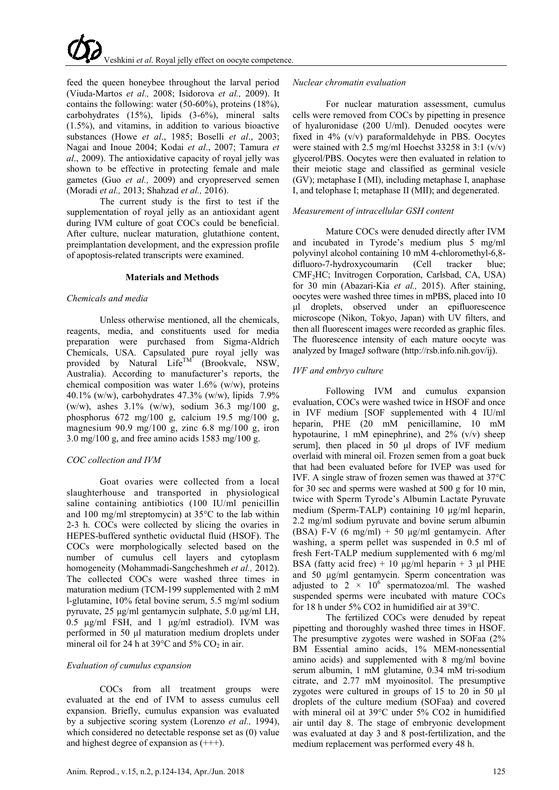feed the queen honeybee throughout the larval period (Viuda-Martos *et al.,* 2008; Isidorova *et al.,* 2009). It contains the following: water (50-60%), proteins (18%), carbohydrates (15%), lipids (3-6%), mineral salts (1.5%), and vitamins, in addition to various bioactive substances (Howe *et al*., 1985; Boselli *et al*., 2003; [Nagai and Inoue 2004;](http://onlinelibrary.wiley.com/doi/10.1111/j.1750-3841.2008.00966.x/full#b108) Kodai *et al*., 2007; Tamura *et al*., 2009). The antioxidative capacity of royal jelly was shown to be effective in protecting female and male gametes (Guo *et al.,* 2009) and cryopreserved semen (Moradi *et al.,* 2013; Shahzad *et al.,* 2016).

The current study is the first to test if the supplementation of royal jelly as an antioxidant agent during IVM culture of goat COCs could be beneficial. After culture, nuclear maturation, glutathione content, preimplantation development, and the expression profile of apoptosis-related transcripts were examined.

## **Materials and Methods**

## *Chemicals and media*

Unless otherwise mentioned, all the chemicals, reagents, media, and constituents used for media preparation were purchased from Sigma-Aldrich Chemicals, USA. Capsulated pure royal jelly was provided by Natural Life<sup>TM</sup> (Brookvale, NSW, Australia). According to manufacturer's reports, the chemical composition was water 1.6% (w/w), proteins 40.1% (w/w), carbohydrates 47.3% (w/w), lipids 7.9% (w/w), ashes 3.1% (w/w), sodium 36.3 mg/100 g, phosphorus 672 mg/100 g, calcium 19.5 mg/100 g, magnesium 90.9 mg/100 g, zinc 6.8 mg/100 g, iron 3.0 mg/100 g, and free amino acids 1583 mg/100 g.

## *COC collection and IVM*

Goat ovaries were collected from a local slaughterhouse and transported in physiological saline containing antibiotics (100 IU/ml penicillin and 100 mg/ml streptomycin) at 35°C to the lab within 2-3 h. COCs were collected by slicing the ovaries in HEPES-buffered synthetic oviductal fluid (HSOF). The COCs were morphologically selected based on the number of cumulus cell layers and cytoplasm homogeneity (Mohammadi-Sangcheshmeh *et al.,* 2012). The collected COCs were washed three times in maturation medium (TCM-199 supplemented with 2 mM l-glutamine, 10% fetal bovine serum, 5.5 mg/ml sodium pyruvate, 25 μg/ml gentamycin sulphate, 5.0 μg/ml LH, 0.5 μg/ml FSH, and 1 μg/ml estradiol). IVM was performed in 50 μl maturation medium droplets under mineral oil for 24 h at 39 $\degree$ C and 5% CO<sub>2</sub> in air.

## *Evaluation of cumulus expansion*

COCs from all treatment groups were evaluated at the end of IVM to assess cumulus cell expansion. Briefly, cumulus expansion was evaluated by a subjective scoring system (Lorenzo *et al.,* 1994), which considered no detectable response set as (0) value and highest degree of expansion as (+++).

# *Nuclear chromatin evaluation*

For nuclear maturation assessment, cumulus cells were removed from COCs by pipetting in presence of hyaluronidase (200 U/ml). Denuded oocytes were fixed in 4% (v/v) paraformaldehyde in PBS. Oocytes were stained with 2.5 mg/ml Hoechst 33258 in 3:1 (v/v) glycerol/PBS. Oocytes were then evaluated in relation to their meiotic stage and classified as germinal vesicle (GV); metaphase I (MI), including metaphase I, anaphase I, and telophase I; metaphase II (MII); and degenerated.

## *Measurement of intracellular GSH content*

Mature COCs were denuded directly after IVM and incubated in Tyrode's medium plus 5 mg/ml polyvinyl alcohol containing 10 mM 4-chloromethyl-6,8 difluoro-7-hydroxycoumarin (Cell tracker blue; CMF2HC; Invitrogen Corporation, Carlsbad, CA, USA) for 30 min (Abazari-Kia *et al.,* 2015). After staining, oocytes were washed three times in mPBS, placed into 10 μl droplets, observed under an epifluorescence microscope (Nikon, Tokyo, Japan) with UV filters, and then all fluorescent images were recorded as graphic files. The fluorescence intensity of each mature oocyte was analyzed by ImageJ software [\(http://rsb.info.nih.gov/ij\)](http://rsb.info.nih.gov/ij).

## *IVF and embryo culture*

Following IVM and cumulus expansion evaluation, COCs were washed twice in HSOF and once in IVF medium [SOF supplemented with 4 IU/ml heparin, PHE (20 mM penicillamine, 10 mM hypotaurine, 1 mM epinephrine), and  $2\%$  (v/v) sheep serum], then placed in 50 μl drops of IVF medium overlaid with mineral oil. Frozen semen from a goat buck that had been evaluated before for IVEP was used for IVF. A single straw of frozen semen was thawed at 37°C for 30 sec and sperms were washed at 500 g for 10 min, twice with Sperm Tyrode's Albumin Lactate Pyruvate medium (Sperm-TALP) containing 10 μg/ml heparin, 2.2 mg/ml sodium pyruvate and bovine serum albumin (BSA) F-V (6 mg/ml) + 50  $\mu$ g/ml gentamycin. After washing, a sperm pellet was suspended in 0.5 ml of fresh Fert-TALP medium supplemented with 6 mg/ml BSA (fatty acid free) + 10 μg/ml heparin + 3 μl PHE and 50 μg/ml gentamycin. Sperm concentration was adjusted to 2  $\times$  10<sup>6</sup> spermatozoa/ml. The washed suspended sperms were incubated with mature COCs for 18 h under 5% CO2 in humidified air at 39°C.

The fertilized COCs were denuded by repeat pipetting and thoroughly washed three times in HSOF. The presumptive zygotes were washed in SOFaa (2% BM Essential amino acids, 1% MEM-nonessential amino acids) and supplemented with 8 mg/ml bovine serum albumin, 1 mM glutamine, 0.34 mM tri-sodium citrate, and 2.77 mM myoinositol. The presumptive zygotes were cultured in groups of 15 to 20 in 50 µl droplets of the culture medium (SOFaa) and covered with mineral oil at 39°C under 5% CO2 in humidified air until day 8. The stage of embryonic development was evaluated at day 3 and 8 post-fertilization, and the medium replacement was performed every 48 h.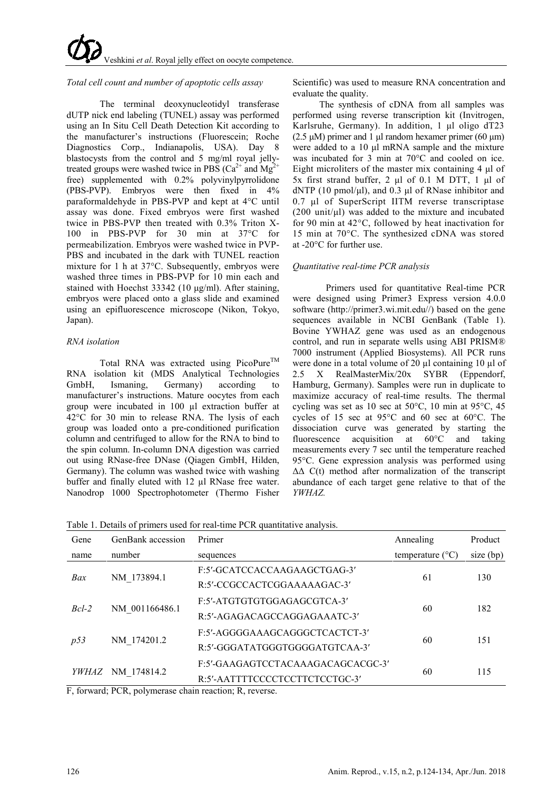# *Total cell count and number of apoptotic cells assay*

The terminal deoxynucleotidyl transferase dUTP nick end labeling (TUNEL) assay was performed using an In Situ Cell Death Detection Kit according to the manufacturer's instructions (Fluorescein; Roche Diagnostics Corp., Indianapolis, USA). Day 8 blastocysts from the control and 5 mg/ml royal jellytreated groups were washed twice in PBS ( $Ca^{2+}$  and  $Mg^{2+}$ free) supplemented with 0.2% polyvinylpyrrolidone (PBS-PVP). Embryos were then fixed in 4% paraformaldehyde in PBS-PVP and kept at 4°C until assay was done. Fixed embryos were first washed twice in PBS-PVP then treated with 0.3% Triton X-100 in PBS-PVP for 30 min at 37°C for permeabilization. Embryos were washed twice in PVP-PBS and incubated in the dark with TUNEL reaction mixture for 1 h at 37°C. Subsequently, embryos were washed three times in PBS-PVP for 10 min each and stained with Hoechst 33342 (10 μg/ml). After staining, embryos were placed onto a glass slide and examined using an epifluorescence microscope (Nikon, Tokyo, Japan).

# *RNA isolation*

Total RNA was extracted using PicoPure<sup>TM</sup> RNA isolation kit (MDS Analytical Technologies GmbH, Ismaning, Germany) according to manufacturer's instructions. Mature oocytes from each group were incubated in 100 µl extraction buffer at 42°C for 30 min to release RNA. The lysis of each group was loaded onto a pre-conditioned purification column and centrifuged to allow for the RNA to bind to the spin column. In-column DNA digestion was carried out using RNase-free DNase (Qiagen GmbH, Hilden, Germany). The column was washed twice with washing buffer and finally eluted with 12 µl RNase free water. Nanodrop 1000 Spectrophotometer (Thermo Fisher

Scientific) was used to measure RNA concentration and evaluate the quality.

The synthesis of cDNA from all samples was performed using reverse transcription kit (Invitrogen, Karlsruhe, Germany). In addition, 1 μl oligo dT23 (2.5 μM) primer and 1 μl random hexamer primer (60 μm) were added to a 10 μl mRNA sample and the mixture was incubated for 3 min at 70°C and cooled on ice. Eight microliters of the master mix containing 4 μl of 5x first strand buffer, 2 μl of 0.1 M DTT, 1 μl of dNTP (10 pmol/μl), and 0.3 μl of RNase inhibitor and 0.7 μl of SuperScript IITM reverse transcriptase  $(200 \text{ unit/}\mu\text{l})$  was added to the mixture and incubated for 90 min at 42°C, followed by heat inactivation for 15 min at 70°C. The synthesized cDNA was stored at -20°C for further use.

# *Quantitative real-time PCR analysis*

Primers used for quantitative Real-time PCR were designed using Primer3 Express version 4.0.0 software (http://primer3.wi.mit.edu//) based on the gene sequences available in NCBI GenBank (Table 1). Bovine YWHAZ gene was used as an endogenous control, and run in separate wells using ABI PRISM® 7000 instrument (Applied Biosystems). All PCR runs were done in a total volume of 20  $\mu$ l containing 10  $\mu$ l of 2.5 X RealMasterMix/20x SYBR (Eppendorf,  $2.5$  X RealMasterMix/ $20x$  SYBR Hamburg, Germany). Samples were run in duplicate to maximize accuracy of real-time results. The thermal cycling was set as 10 sec at 50°C, 10 min at 95°C, 45 cycles of 15 sec at 95°C and 60 sec at 60°C. The dissociation curve was generated by starting the fluorescence acquisition at 60°C and taking measurements every 7 sec until the temperature reached 95°C. Gene expression analysis was performed using ΔΔ C(t) method after normalization of the transcript abundance of each target gene relative to that of the *YWHAZ.*

Table 1. Details of primers used for real-time PCR quantitative analysis.

| Gene                          | GenBank accession | Primer                                            | Annealing                 | Product   |
|-------------------------------|-------------------|---------------------------------------------------|---------------------------|-----------|
| name                          | number            | sequences                                         | temperature $(^{\circ}C)$ | size (bp) |
| Bax                           | NM 173894.1       | F:5'-GCATCCACCAAGAAGCTGAG-3'                      |                           | 130       |
|                               |                   | R:5'-CCGCCACTCGGAAAAAGAC-3'                       | 61                        |           |
| $Bcl-2$                       | NM 001166486.1    | F:5'-ATGTGTGTGGAGAGCGTCA-3'                       |                           | 182       |
|                               |                   | R:5'-AGAGACAGCCAGGAGAAATC-3'                      | 60                        |           |
| p53                           | NM 174201.2       | F:5'-AGGGGAAAGCAGGGCTCACTCT-3'                    |                           | 151       |
|                               |                   | R:5'-GGGATATGGGTGGGGATGTCAA-3'                    | 60                        |           |
| <i>YWHAZ</i><br>$\sim$ $\sim$ | NM 174814.2       | F:5'-GAAGAGTCCTACAAAGACAGCACGC-3'                 |                           | 115       |
|                               |                   | R:5'-AATTTTCCCCTCCTTCTCCTGC-3'<br>$\cdot$ $\cdot$ | 60                        |           |

F, forward; PCR, polymerase chain reaction; R, reverse.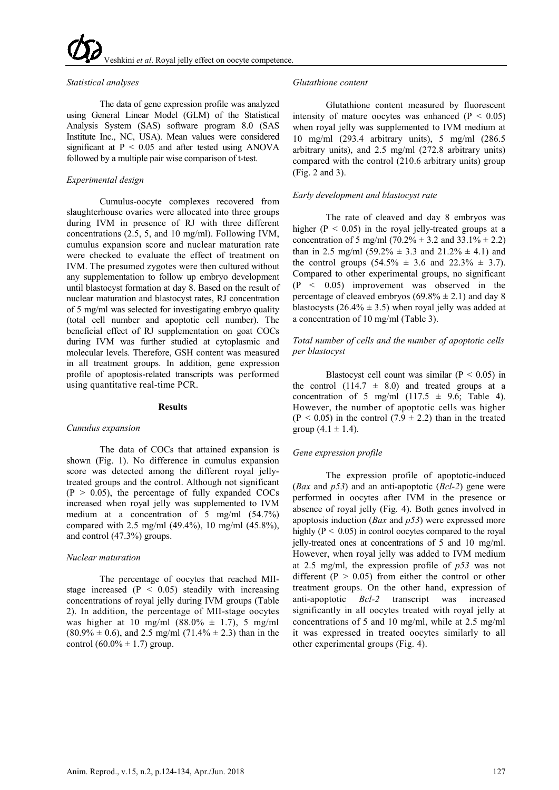## *Statistical analyses*

The data of gene expression profile was analyzed using General Linear Model (GLM) of the Statistical Analysis System (SAS) software program 8.0 (SAS Institute Inc., NC, USA). Mean values were considered significant at  $P < 0.05$  and after tested using ANOVA followed by a multiple pair wise comparison of t-test.

# *Experimental design*

Cumulus-oocyte complexes recovered from slaughterhouse ovaries were allocated into three groups during IVM in presence of RJ with three different concentrations (2.5, 5, and 10 mg/ml). Following IVM, cumulus expansion score and nuclear maturation rate were checked to evaluate the effect of treatment on IVM. The presumed zygotes were then cultured without any supplementation to follow up embryo development until blastocyst formation at day 8. Based on the result of nuclear maturation and blastocyst rates, RJ concentration of 5 mg/ml was selected for investigating embryo quality (total cell number and apoptotic cell number). The beneficial effect of RJ supplementation on goat COCs during IVM was further studied at cytoplasmic and molecular levels. Therefore, GSH content was measured in all treatment groups. In addition, gene expression profile of apoptosis-related transcripts was performed using quantitative real-time PCR.

## **Results**

#### *Cumulus expansion*

The data of COCs that attained expansion is shown (Fig. 1). No difference in cumulus expansion score was detected among the different royal jellytreated groups and the control. Although not significant  $(P > 0.05)$ , the percentage of fully expanded COCs increased when royal jelly was supplemented to IVM medium at a concentration of 5 mg/ml (54.7%) compared with 2.5 mg/ml (49.4%), 10 mg/ml (45.8%), and control (47.3%) groups.

### *Nuclear maturation*

The percentage of oocytes that reached MIIstage increased  $(P < 0.05)$  steadily with increasing concentrations of royal jelly during IVM groups (Table 2). In addition, the percentage of MII-stage oocytes was higher at 10 mg/ml  $(88.0\% \pm 1.7)$ , 5 mg/ml  $(80.9\% \pm 0.6)$ , and 2.5 mg/ml  $(71.4\% \pm 2.3)$  than in the control  $(60.0\% \pm 1.7)$  group.

## *Glutathione content*

Glutathione content measured by fluorescent intensity of mature oocytes was enhanced  $(P < 0.05)$ when royal jelly was supplemented to IVM medium at 10 mg/ml (293.4 arbitrary units), 5 mg/ml (286.5 arbitrary units), and 2.5 mg/ml (272.8 arbitrary units) compared with the control (210.6 arbitrary units) group (Fig. 2 and 3).

## *Early development and blastocyst rate*

The rate of cleaved and day 8 embryos was higher ( $P < 0.05$ ) in the royal jelly-treated groups at a concentration of 5 mg/ml (70.2%  $\pm$  3.2 and 33.1%  $\pm$  2.2) than in 2.5 mg/ml  $(59.2% \pm 3.3$  and  $21.2% \pm 4.1)$  and the control groups  $(54.5\% \pm 3.6 \text{ and } 22.3\% \pm 3.7).$ Compared to other experimental groups, no significant (P <  0.05) improvement was observed in the percentage of cleaved embryos  $(69.8\% \pm 2.1)$  and day 8 blastocysts ( $26.4\% \pm 3.5$ ) when royal jelly was added at a concentration of 10 mg/ml (Table 3).

## *Total number of cells and the number of apoptotic cells per blastocyst*

Blastocyst cell count was similar  $(P < 0.05)$  in the control  $(114.7 \pm 8.0)$  and treated groups at a concentration of 5 mg/ml  $(117.5 \pm 9.6;$  Table 4). However, the number of apoptotic cells was higher  $(P < 0.05)$  in the control  $(7.9 \pm 2.2)$  than in the treated group  $(4.1 \pm 1.4)$ .

### *Gene expression profile*

The expression profile of apoptotic-induced (*Bax* and *p53*) and an anti-apoptotic (*Bcl-2*) gene were performed in oocytes after IVM in the presence or absence of royal jelly (Fig. 4). Both genes involved in apoptosis induction (*Bax* and *p53*) were expressed more highly ( $P < 0.05$ ) in control oocytes compared to the royal jelly-treated ones at concentrations of 5 and 10 mg/ml. However, when royal jelly was added to IVM medium at 2.5 mg/ml, the expression profile of *p53* was not different ( $P > 0.05$ ) from either the control or other treatment groups. On the other hand, expression of anti-apoptotic *Bcl-2* transcript was increased significantly in all oocytes treated with royal jelly at concentrations of 5 and 10 mg/ml, while at 2.5 mg/ml it was expressed in treated oocytes similarly to all other experimental groups (Fig. 4).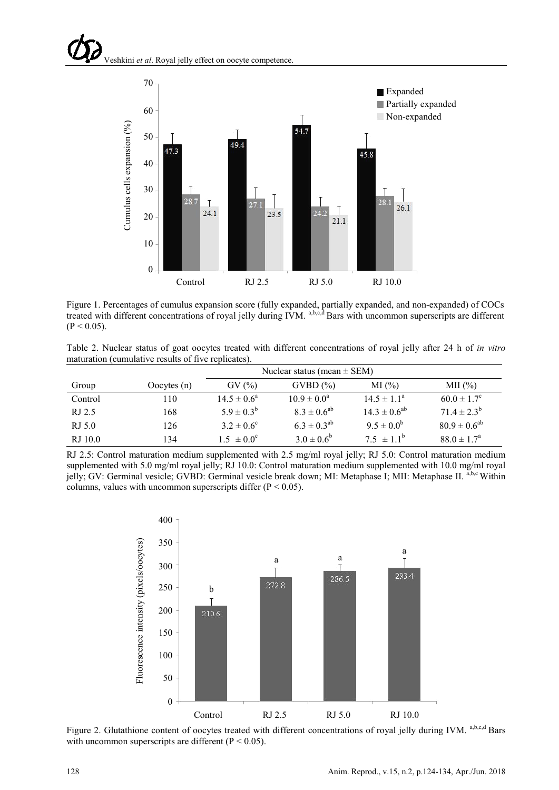

Figure 1. Percentages of cumulus expansion score (fully expanded, partially expanded, and non-expanded) of COCs treated with different concentrations of royal jelly during IVM. <sup>a,b,c,d</sup> Bars with uncommon superscripts are different  $(P < 0.05)$ .

Table 2. Nuclear status of goat oocytes treated with different concentrations of royal jelly after 24 h of *in vitro* maturation (cumulative results of five replicates).

|         |               | Nuclear status (mean $\pm$ SEM) |                    |                        |                        |
|---------|---------------|---------------------------------|--------------------|------------------------|------------------------|
| Group   | Oocytes $(n)$ | $\text{GV}(\%)$                 | $GVBD$ $%$         | $MI(\%)$               | MII $(\% )$            |
| Control | 110           | $14.5 \pm 0.6^{\circ}$          | $10.9 \pm 0.0^a$   | $14.5 \pm 1.1^{\circ}$ | $60.0 \pm 1.7^{\circ}$ |
| RJ 2.5  | 168           | $5.9 \pm 0.3^{b}$               | $8.3 \pm 0.6^{ab}$ | $14.3 \pm 0.6^{ab}$    | $71.4 \pm 2.3^b$       |
| RJ 5.0  | 126           | $3.2 \pm 0.6^{\circ}$           | $6.3 \pm 0.3^{ab}$ | $9.5 \pm 0.0^b$        | $80.9 \pm 0.6^{ab}$    |
| RJ 10.0 | 134           | $1.5 \pm 0.0^{\circ}$           | $3.0 \pm 0.6^b$    | $7.5 \pm 1.1^{\circ}$  | $88.0 \pm 1.7^{\circ}$ |

RJ 2.5: Control maturation medium supplemented with 2.5 mg/ml royal jelly; RJ 5.0: Control maturation medium supplemented with 5.0 mg/ml royal jelly; RJ 10.0: Control maturation medium supplemented with 10.0 mg/ml royal jelly; GV: Germinal vesicle; GVBD: Germinal vesicle break down; MI: Metaphase I; MII: Metaphase II. <sup>a,b,c</sup> Within columns, values with uncommon superscripts differ  $(P < 0.05)$ .



Figure 2. Glutathione content of oocytes treated with different concentrations of royal jelly during IVM. a,b,c,d Bars with uncommon superscripts are different ( $P < 0.05$ ).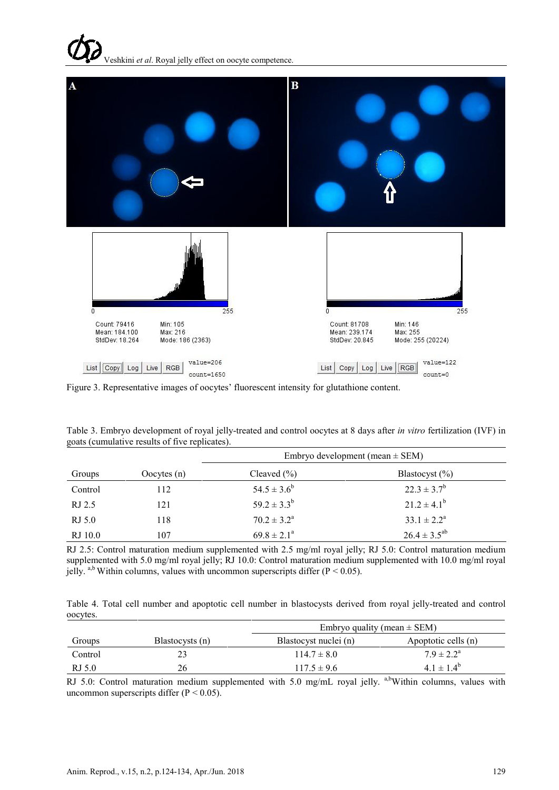

Figure 3. Representative images of oocytes' fluorescent intensity for glutathione content.

|         |               | Embryo development (mean $\pm$ SEM) |                     |  |
|---------|---------------|-------------------------------------|---------------------|--|
| Groups  | Oocytes $(n)$ | Cleaved $(\% )$                     | Blastocyst $(\% )$  |  |
| Control | 112           | $54.5 \pm 3.6^b$                    | $22.3 \pm 3.7^b$    |  |
| RJ 2.5  | 121           | $59.2 \pm 3.3^b$                    | $21.2 \pm 4.1^b$    |  |
| RJ 5.0  | 118           | $70.2 \pm 3.2^{\text{a}}$           | $33.1 \pm 2.2^a$    |  |
| RJ 10.0 | 107           | $69.8 \pm 2.1^{\circ}$              | $26.4 \pm 3.5^{ab}$ |  |

Table 3. Embryo development of royal jelly-treated and control oocytes at 8 days after *in vitro* fertilization (IVF) in goats (cumulative results of five replicates).

RJ 2.5: Control maturation medium supplemented with 2.5 mg/ml royal jelly; RJ 5.0: Control maturation medium supplemented with 5.0 mg/ml royal jelly; RJ 10.0: Control maturation medium supplemented with 10.0 mg/ml royal jelly. <sup>a,b</sup> Within columns, values with uncommon superscripts differ (P < 0.05).

Table 4. Total cell number and apoptotic cell number in blastocysts derived from royal jelly-treated and control oocytes.

|         |                 | Embryo quality (mean $\pm$ SEM) |                       |  |
|---------|-----------------|---------------------------------|-----------------------|--|
| Groups  | Blastocysts (n) | Blastocyst nuclei (n)           | Apoptotic cells (n)   |  |
| Control |                 | $114.7 \pm 8.0$                 | $7.9 \pm 2.2^{\rm a}$ |  |
| RJ 5.0  | 26              | $117.5 \pm 9.6$                 | $4.1 \pm 1.4^b$       |  |

RJ 5.0: Control maturation medium supplemented with 5.0 mg/mL royal jelly. a,bWithin columns, values with uncommon superscripts differ  $(P < 0.05)$ .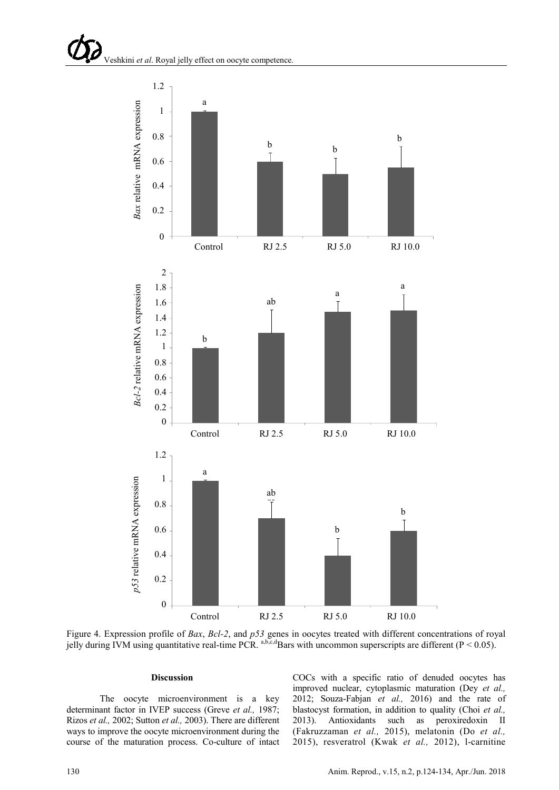

Figure 4. Expression profile of *Bax*, *Bcl-2*, and *p53* genes in oocytes treated with different concentrations of royal jelly during IVM using quantitative real-time PCR.  $a,b,c,d$ Bars with uncommon superscripts are different (P < 0.05).

#### **Discussion**

The oocyte microenvironment is a key determinant factor in IVEP success (Greve *et al.,* 1987; Rizos *et al.,* 2002; Sutton *et al.,* 2003). There are different ways to improve the oocyte microenvironment during the course of the maturation process. Co-culture of intact COCs with a specific ratio of denuded oocytes has improved nuclear, cytoplasmic maturation (Dey *et al.,* 2012; Souza-Fabjan *et al.,* 2016) and the rate of blastocyst formation, in addition to quality (Choi *et al.,* 2013). Antioxidants such as peroxiredoxin II (Fakruzzaman *et al.,* 2015), melatonin (Do *et al.,* 2015), resveratrol (Kwak *et al.,* 2012), l-carnitine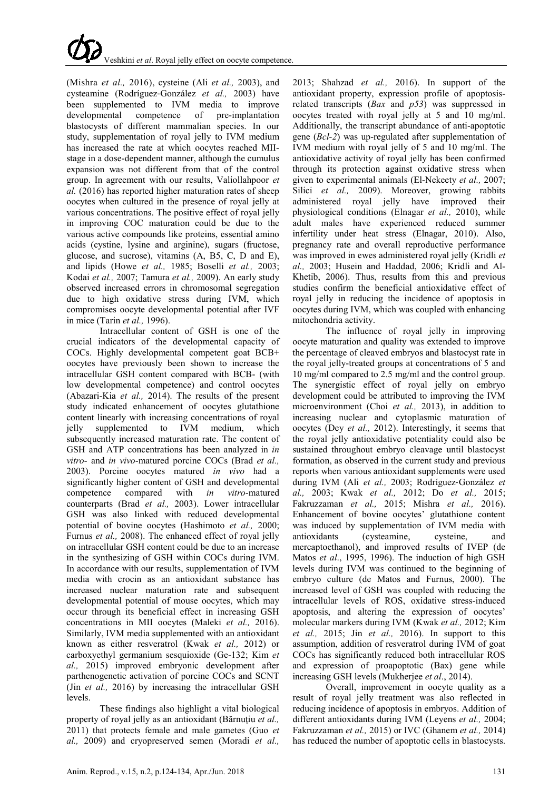

(Mishra *et al.,* 2016), cysteine (Ali *et al.,* 2003), and cysteamine (Rodríguez‐González *et al.,* 2003) have been supplemented to IVM media to improve developmental competence of pre-implantation blastocysts of different mammalian species. In our study, supplementation of royal jelly to IVM medium has increased the rate at which oocytes reached MIIstage in a dose-dependent manner, although the cumulus expansion was not different from that of the control group. In agreement with our results, Valiollahpoor *et al.* (2016) has reported higher maturation rates of sheep oocytes when cultured in the presence of royal jelly at various concentrations. The positive effect of royal jelly in improving COC maturation could be due to the various active compounds like proteins, essential amino acids (cystine, lysine and arginine), sugars (fructose, glucose, and sucrose), vitamins (A, B5, C, D and E), and lipids (Howe *et al.,* 1985; Boselli *et al.,* 2003; Kodai *et al.,* 2007; Tamura *et al.,* 2009). An early study observed increased errors in chromosomal segregation due to high oxidative stress during IVM, which compromises oocyte developmental potential after IVF in mice (Tarin *et al.,* 1996).

Intracellular content of GSH is one of the crucial indicators of the developmental capacity of COCs. Highly developmental competent goat BCB+ oocytes have previously been shown to increase the intracellular GSH content compared with BCB- (with low developmental competence) and control oocytes (Abazari-Kia *et al.,* 2014). The results of the present study indicated enhancement of oocytes glutathione content linearly with increasing concentrations of royal jelly supplemented to IVM medium, which subsequently increased maturation rate. The content of GSH and ATP concentrations has been analyzed in *in vitro-* and *in vivo*-matured porcine COCs (Brad *et al.,* 2003). Porcine oocytes matured *in vivo* had a significantly higher content of GSH and developmental competence compared with *in vitro*-matured counterparts (Brad *et al.,* 2003). Lower intracellular GSH was also linked with reduced developmental potential of bovine oocytes (Hashimoto *et al.,* 2000; Furnus *et al.,* 2008). The enhanced effect of royal jelly on intracellular GSH content could be due to an increase in the synthesizing of GSH within COCs during IVM. In accordance with our results, supplementation of IVM media with crocin as an antioxidant substance has increased nuclear maturation rate and subsequent developmental potential of mouse oocytes, which may occur through its beneficial effect in increasing GSH concentrations in MII oocytes (Maleki *et al.,* 2016). Similarly, IVM media supplemented with an antioxidant known as either resveratrol (Kwak *et al.,* 2012) or carboxyethyl germanium sesquioxide (Ge-132; Kim *et al.,* 2015) improved embryonic development after parthenogenetic activation of porcine COCs and SCNT (Jin *et al.,* 2016) by increasing the intracellular GSH levels.

These findings also highlight a vital biological property of royal jelly as an antioxidant (Bărnuţiu *et al.,* 2011) that protects female and male gametes (Guo *et al.,* 2009) and cryopreserved semen (Moradi *et al.,* 2013; Shahzad *et al.,* 2016). In support of the antioxidant property, expression profile of apoptosisrelated transcripts (*Bax* and *p53*) was suppressed in oocytes treated with royal jelly at 5 and 10 mg/ml. Additionally, the transcript abundance of anti-apoptotic gene (*Bcl-2*) was up-regulated after supplementation of IVM medium with royal jelly of 5 and 10 mg/ml. The antioxidative activity of royal jelly has been confirmed through its protection against oxidative stress when given to experimental animals (El-Nekeety *et al.,* 2007; Silici *et al.*, 2009). Moreover, growing rabbits administered royal jelly have improved their physiological conditions (Elnagar *et al.,* 2010), while adult males have experienced reduced summer infertility under heat stress (Elnagar, 2010). Also, pregnancy rate and overall reproductive performance was improved in ewes administered royal jelly (Kridli *et al.,* 2003; Husein and Haddad, 2006; Kridli and Al-Khetib, 2006). Thus, results from this and previous studies confirm the beneficial antioxidative effect of royal jelly in reducing the incidence of apoptosis in oocytes during IVM, which was coupled with enhancing mitochondria activity.

The influence of royal jelly in improving oocyte maturation and quality was extended to improve the percentage of cleaved embryos and blastocyst rate in the royal jelly-treated groups at concentrations of 5 and 10 mg/ml compared to 2.5 mg/ml and the control group. The synergistic effect of royal jelly on embryo development could be attributed to improving the IVM microenvironment (Choi *et al.,* 2013), in addition to increasing nuclear and cytoplasmic maturation of oocytes (Dey *et al.,* 2012). Interestingly, it seems that the royal jelly antioxidative potentiality could also be sustained throughout embryo cleavage until blastocyst formation, as observed in the current study and previous reports when various antioxidant supplements were used during IVM (Ali *et al.,* 2003; Rodríguez‐González *et al.,* 2003; Kwak *et al.,* 2012; Do *et al.,* 2015; Fakruzzaman *et al.,* 2015; Mishra *et al.,* 2016). Enhancement of bovine oocytes' glutathione content was induced by supplementation of IVM media with antioxidants (cysteamine, cysteine, and mercaptoethanol), and improved results of IVEP (de Matos *et al*., 1995, 1996). The induction of high GSH levels during IVM was continued to the beginning of embryo culture (de Matos and Furnus, 2000). The increased level of GSH was coupled with reducing the intracellular levels of ROS, oxidative stress-induced apoptosis, and altering the expression of oocytes' molecular markers during IVM (Kwak *et al.,* 2012; Kim *et al.,* 2015; Jin *et al.,* 2016). In support to this assumption, addition of resveratrol during IVM of goat COCs has significantly reduced both intracellular ROS and expression of proapoptotic (Bax) gene while increasing GSH levels (Mukherjee *et al*., 2014).

Overall, improvement in oocyte quality as a result of royal jelly treatment was also reflected in reducing incidence of apoptosis in embryos. Addition of different antioxidants during IVM (Leyens *et al.,* 2004; Fakruzzaman *et al.,* 2015) or IVC (Ghanem *et al.,* 2014) has reduced the number of apoptotic cells in blastocysts.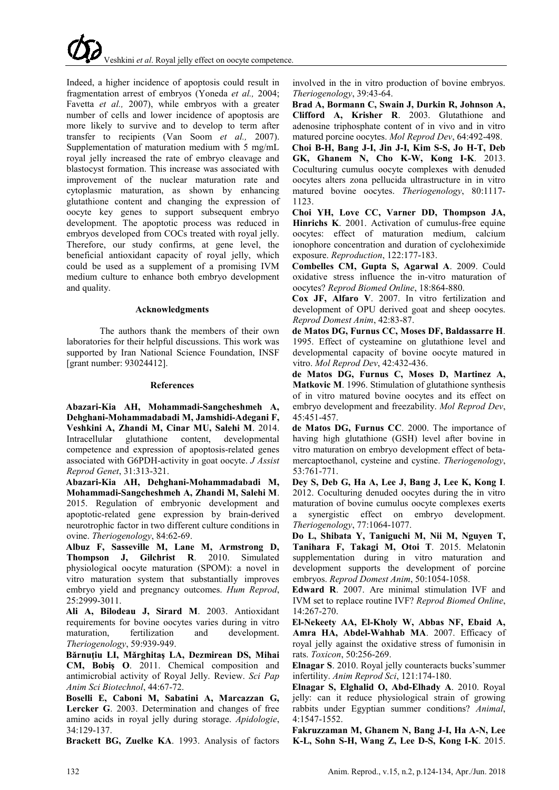

Indeed, a higher incidence of apoptosis could result in fragmentation arrest of embryos (Yoneda *et al.,* 2004; Favetta *et al.,* 2007), while embryos with a greater number of cells and lower incidence of apoptosis are more likely to survive and to develop to term after transfer to recipients (Van Soom *et al.,* 2007). Supplementation of maturation medium with 5 mg/mL royal jelly increased the rate of embryo cleavage and blastocyst formation. This increase was associated with improvement of the nuclear maturation rate and cytoplasmic maturation, as shown by enhancing glutathione content and changing the expression of oocyte key genes to support subsequent embryo development. The apoptotic process was reduced in embryos developed from COCs treated with royal jelly. Therefore, our study confirms, at gene level, the beneficial antioxidant capacity of royal jelly, which could be used as a supplement of a promising IVM medium culture to enhance both embryo development and quality.

### **Acknowledgments**

The authors thank the members of their own laboratories for their helpful discussions. This work was supported by Iran National Science Foundation, INSF [grant number: 93024412].

## **References**

**Abazari-Kia AH, Mohammadi-Sangcheshmeh A, Dehghani-Mohammadabadi M, Jamshidi-Adegani F, Veshkini A, Zhandi M, Cinar MU, Salehi M**. 2014. Intracellular glutathione content, developmental competence and expression of apoptosis-related genes associated with G6PDH-activity in goat oocyte. *J Assist Reprod Genet*, 31:313-321.

**Abazari-Kia AH, Dehghani-Mohammadabadi M, Mohammadi-Sangcheshmeh A, Zhandi M, Salehi M**. 2015. Regulation of embryonic development and apoptotic-related gene expression by brain-derived neurotrophic factor in two different culture conditions in ovine. *Theriogenology*, 84:62-69.

**Albuz F, Sasseville M, Lane M, Armstrong D, Thompson J, Gilchrist R**. 2010. Simulated physiological oocyte maturation (SPOM): a novel in vitro maturation system that substantially improves embryo yield and pregnancy outcomes. *Hum Reprod*, 25:2999-3011.

**Ali A, Bilodeau J, Sirard M**. 2003. Antioxidant requirements for bovine oocytes varies during in vitro maturation, fertilization and development. *Theriogenology*, 59:939-949.

**Bărnuţiu LI, Mărghitaş LA, Dezmirean DS, Mihai CM, Bobiş O**. 2011. Chemical composition and antimicrobial activity of Royal Jelly. Review. *Sci Pap Anim Sci Biotechnol*, 44:67-72.

**Boselli E, Caboni M, Sabatini A, Marcazzan G, Lercker G**. 2003. Determination and changes of free amino acids in royal jelly during storage. *Apidologie*, 34:129-137.

**Brackett BG, Zuelke KA**. 1993. Analysis of factors

involved in the in vitro production of bovine embryos. *Theriogenology*, 39:43-64.

**Brad A, Bormann C, Swain J, Durkin R, Johnson A, Clifford A, Krisher R**. 2003. Glutathione and adenosine triphosphate content of in vivo and in vitro matured porcine oocytes. *Mol Reprod Dev*, 64:492-498.

**Choi B-H, Bang J-I, Jin J-I, Kim S-S, Jo H-T, Deb GK, Ghanem N, Cho K-W, Kong I-K**. 2013. Coculturing cumulus oocyte complexes with denuded oocytes alters zona pellucida ultrastructure in in vitro matured bovine oocytes. *Theriogenology*, 80:1117- 1123.

**Choi YH, Love CC, Varner DD, Thompson JA, Hinrichs K**. 2001. Activation of cumulus-free equine oocytes: effect of maturation medium, calcium ionophore concentration and duration of cycloheximide exposure. *Reproduction*, 122:177-183.

**Combelles CM, Gupta S, Agarwal A**. 2009. Could oxidative stress influence the in-vitro maturation of oocytes? *Reprod Biomed Online*, 18:864-880.

**Cox JF, Alfaro V**. 2007. In vitro fertilization and development of OPU derived goat and sheep oocytes. *Reprod Domest Anim*, 42:83-87.

**de Matos DG, Furnus CC, Moses DF, Baldassarre H**. 1995. Effect of cysteamine on glutathione level and developmental capacity of bovine oocyte matured in vitro. *Mol Reprod Dev*, 42:432-436.

**de Matos DG, Furnus C, Moses D, Martinez A, Matkovic M**. 1996. Stimulation of glutathione synthesis of in vitro matured bovine oocytes and its effect on embryo development and freezability. *Mol Reprod Dev*, 45:451-457.

**de Matos DG, Furnus CC**. 2000. The importance of having high glutathione (GSH) level after bovine in vitro maturation on embryo development effect of betamercaptoethanol, cysteine and cystine. *Theriogenology*, 53:761-771.

**Dey S, Deb G, Ha A, Lee J, Bang J, Lee K, Kong I**. 2012. Coculturing denuded oocytes during the in vitro maturation of bovine cumulus oocyte complexes exerts a synergistic effect on embryo development. *Theriogenology*, 77:1064-1077.

**Do L, Shibata Y, Taniguchi M, Nii M, Nguyen T, Tanihara F, Takagi M, Otoi T**. 2015. Melatonin supplementation during in vitro maturation and development supports the development of porcine embryos. *Reprod Domest Anim*, 50:1054-1058.

**Edward R**. 2007. Are minimal stimulation IVF and IVM set to replace routine IVF? *Reprod Biomed Online*, 14:267-270.

**El-Nekeety AA, El-Kholy W, Abbas NF, Ebaid A, Amra HA, Abdel-Wahhab MA**. 2007. Efficacy of royal jelly against the oxidative stress of fumonisin in rats. *Toxicon*, 50:256-269.

**Elnagar S**. 2010. Royal jelly counteracts bucks'summer infertility. *Anim Reprod Sci*, 121:174-180.

**Elnagar S, Elghalid O, Abd-Elhady A**. 2010. Royal jelly: can it reduce physiological strain of growing rabbits under Egyptian summer conditions? *Animal*, 4:1547-1552.

**Fakruzzaman M, Ghanem N, Bang J-I, Ha A-N, Lee K-L, Sohn S-H, Wang Z, Lee D-S, Kong I-K**. 2015.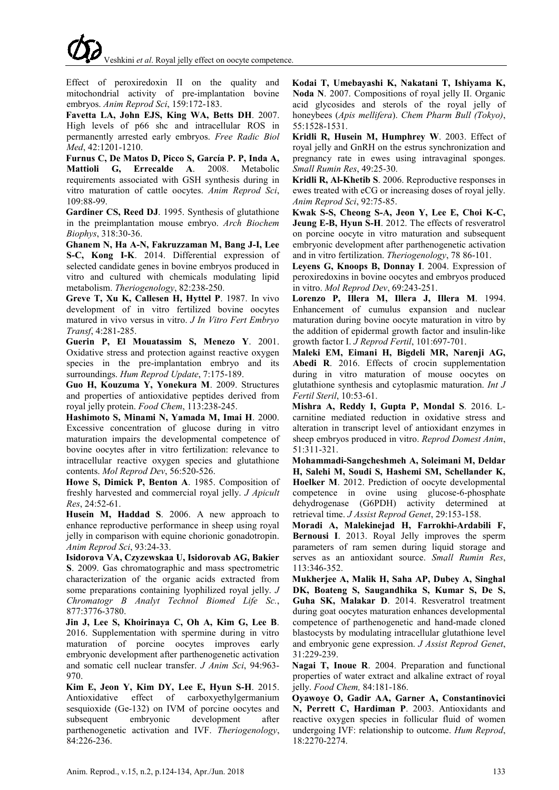Effect of peroxiredoxin II on the quality and mitochondrial activity of pre-implantation bovine embryos. *Anim Reprod Sci*, 159:172-183.

**Favetta LA, John EJS, King WA, Betts DH**. 2007. High levels of p66 shc and intracellular ROS in permanently arrested early embryos. *Free Radic Biol Med*, 42:1201-1210.

**Furnus C, De Matos D, Picco S, García P. P, Inda A, Mattioli G, Errecalde A**. 2008. Metabolic requirements associated with GSH synthesis during in vitro maturation of cattle oocytes. *Anim Reprod Sci*, 109:88-99.

**Gardiner CS, Reed DJ**. 1995. Synthesis of glutathione in the preimplantation mouse embryo. *Arch Biochem Biophys*, 318:30-36.

**Ghanem N, Ha A-N, Fakruzzaman M, Bang J-I, Lee S-C, Kong I-K**. 2014. Differential expression of selected candidate genes in bovine embryos produced in vitro and cultured with chemicals modulating lipid metabolism. *Theriogenology*, 82:238-250.

**Greve T, Xu K, Callesen H, Hyttel P**. 1987. In vivo development of in vitro fertilized bovine oocytes matured in vivo versus in vitro. *J In Vitro Fert Embryo Transf*, 4:281-285.

**Guerin P, El Mouatassim S, Menezo Y**. 2001. Oxidative stress and protection against reactive oxygen species in the pre-implantation embryo and its surroundings. *Hum Reprod Update*, 7:175-189.

**Guo H, Kouzuma Y, Yonekura M**. 2009. Structures and properties of antioxidative peptides derived from royal jelly protein. *Food Chem*, 113:238-245.

**Hashimoto S, Minami N, Yamada M, Imai H**. 2000. Excessive concentration of glucose during in vitro maturation impairs the developmental competence of bovine oocytes after in vitro fertilization: relevance to intracellular reactive oxygen species and glutathione contents. *Mol Reprod Dev*, 56:520-526.

**Howe S, Dimick P, Benton A**. 1985. Composition of freshly harvested and commercial royal jelly. *J Apicult Res*, 24:52-61.

**Husein M, Haddad S**. 2006. A new approach to enhance reproductive performance in sheep using royal jelly in comparison with equine chorionic gonadotropin. *Anim Reprod Sci*, 93:24-33.

**Isidorova VA, Czyzewskaa U, Isidorovab AG, Bakier S**. 2009. Gas chromatographic and mass spectrometric characterization of the organic acids extracted from some preparations containing lyophilized royal jelly. *J Chromatogr B Analyt Technol Biomed Life Sc.*, 877:3776-3780.

**Jin J, Lee S, Khoirinaya C, Oh A, Kim G, Lee B**. 2016. Supplementation with spermine during in vitro maturation of porcine oocytes improves early embryonic development after parthenogenetic activation and somatic cell nuclear transfer. *J Anim Sci*, 94:963- 970.

**Kim E, Jeon Y, Kim DY, Lee E, Hyun S-H**. 2015. Antioxidative effect of carboxyethylgermanium sesquioxide (Ge-132) on IVM of porcine oocytes and subsequent embryonic development after parthenogenetic activation and IVF. *Theriogenology*, 84:226-236.

**Kodai T, Umebayashi K, Nakatani T, Ishiyama K, Noda N**. 2007. Compositions of royal jelly II. Organic acid glycosides and sterols of the royal jelly of honeybees (*Apis mellifera*). *Chem Pharm Bull (Tokyo)*, 55:1528-1531.

**Kridli R, Husein M, Humphrey W**. 2003. Effect of royal jelly and GnRH on the estrus synchronization and pregnancy rate in ewes using intravaginal sponges. *Small Rumin Res*, 49:25-30.

**Kridli R, Al-Khetib S**. 2006. Reproductive responses in ewes treated with eCG or increasing doses of royal jelly. *Anim Reprod Sci*, 92:75-85.

**Kwak S-S, Cheong S-A, Jeon Y, Lee E, Choi K-C, Jeung E-B, Hyun S-H**. 2012. The effects of resveratrol on porcine oocyte in vitro maturation and subsequent embryonic development after parthenogenetic activation and in vitro fertilization. *Theriogenology*, 78 86-101.

**Leyens G, Knoops B, Donnay I**. 2004. Expression of peroxiredoxins in bovine oocytes and embryos produced in vitro. *Mol Reprod Dev*, 69:243-251.

**Lorenzo P, Illera M, Illera J, Illera M**. 1994. Enhancement of cumulus expansion and nuclear maturation during bovine oocyte maturation in vitro by the addition of epidermal growth factor and insulin-like growth factor I. *J Reprod Fertil*, 101:697-701.

**Maleki EM, Eimani H, Bigdeli MR, Narenji AG, Abedi R**. 2016. Effects of crocin supplementation during in vitro maturation of mouse oocytes on glutathione synthesis and cytoplasmic maturation. *Int J Fertil Steril*, 10:53-61.

**Mishra A, Reddy I, Gupta P, Mondal S**. 2016. Lcarnitine mediated reduction in oxidative stress and alteration in transcript level of antioxidant enzymes in sheep embryos produced in vitro. *Reprod Domest Anim*, 51:311-321.

**Mohammadi-Sangcheshmeh A, Soleimani M, Deldar H, Salehi M, Soudi S, Hashemi SM, Schellander K, Hoelker M**. 2012. Prediction of oocyte developmental competence in ovine using glucose-6-phosphate dehydrogenase (G6PDH) activity determined at retrieval time. *J Assist Reprod Genet*, 29:153-158.

**Moradi A, Malekinejad H, Farrokhi-Ardabili F, Bernousi I**. 2013. Royal Jelly improves the sperm parameters of ram semen during liquid storage and serves as an antioxidant source. *Small Rumin Res*, 113:346-352.

**Mukherjee A, Malik H, Saha AP, Dubey A, Singhal DK, Boateng S, Saugandhika S, Kumar S, De S, Guha SK, Malakar D**. 2014. Resveratrol treatment during goat oocytes maturation enhances developmental competence of parthenogenetic and hand-made cloned blastocysts by modulating intracellular glutathione level and embryonic gene expression. *J Assist Reprod Genet*, 31:229-239.

**Nagai T, Inoue R**. 2004. Preparation and functional properties of water extract and alkaline extract of royal jelly. *Food Chem,* 84:181-186.

**Oyawoye O, Gadir AA, Garner A, Constantinovici N, Perrett C, Hardiman P**. 2003. Antioxidants and reactive oxygen species in follicular fluid of women undergoing IVF: relationship to outcome. *Hum Reprod*, 18:2270-2274.